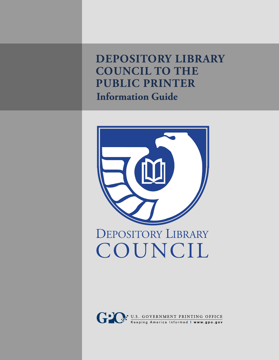**Depository Library COUNCIL TO THE Public Printer Information Guide**



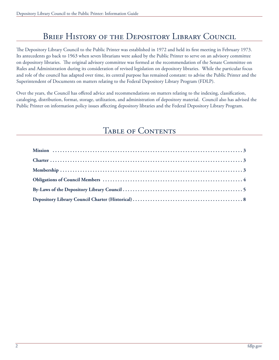## BRIEF HISTORY OF THE DEPOSITORY LIBRARY COUNCIL

The Depository Library Council to the Public Printer was established in 1972 and held its first meeting in February 1973. Its antecedents go back to 1963 when seven librarians were asked by the Public Printer to serve on an advisory committee on depository libraries. The original advisory committee was formed at the recommendation of the Senate Committee on Rules and Administration during its consideration of revised legislation on depository libraries. While the particular focus and role of the council has adapted over time, its central purpose has remained constant: to advise the Public Printer and the Superintendent of Documents on matters relating to the Federal Depository Library Program (FDLP).

Over the years, the Council has offered advice and recommendations on matters relating to the indexing, classification, cataloging, distribution, format, storage, utilization, and administration of depository material. Council also has advised the Public Printer on information policy issues affecting depository libraries and the Federal Depository Library Program.

### TABLE OF CONTENTS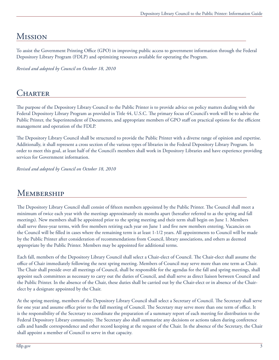# <span id="page-2-0"></span>Mission

To assist the Government Printing Office (GPO) in improving public access to government information through the Federal Depository Library Program (FDLP) and optimizing resources available for operating the Program.

*Revised and adopted by Council on October 18, 2010*

## **CHARTER**

The purpose of the Depository Library Council to the Public Printer is to provide advice on policy matters dealing with the Federal Depository Library Program as provided in Title 44, U.S.C. The primary focus of Council's work will be to advise the Public Printer, the Superintendent of Documents, and appropriate members of GPO staff on practical options for the efficient management and operation of the FDLP.

The Depository Library Council shall be structured to provide the Public Printer with a diverse range of opinion and expertise. Additionally, it shall represent a cross section of the various types of libraries in the Federal Depository Library Program. In order to meet this goal, at least half of the Council's members shall work in Depository Libraries and have experience providing services for Government information.

*Revised and adopted by Council on October 18, 2010*

## **MEMBERSHIP**

The Depository Library Council shall consist of fifteen members appointed by the Public Printer. The Council shall meet a minimum of twice each year with the meetings approximately six months apart (hereafter referred to as the spring and fall meetings). New members shall be appointed prior to the spring meeting and their term shall begin on June 1. Members shall serve three-year terms, with five members retiring each year on June 1 and five new members entering. Vacancies on the Council will be filled in cases where the remaining term is at least 1-1/2 years. All appointments to Council will be made by the Public Printer after consideration of recommendations from Council, library associations, and others as deemed appropriate by the Public Printer. Members may be appointed for additional terms.

Each fall, members of the Depository Library Council shall select a Chair-elect of Council. The Chair-elect shall assume the office of Chair immediately following the next spring meeting. Members of Council may serve more than one term as Chair. The Chair shall preside over all meetings of Council, shall be responsible for the agendas for the fall and spring meetings, shall appoint such committees as necessary to carry out the duties of Council, and shall serve as direct liaison between Council and the Public Printer. In the absence of the Chair, these duties shall be carried out by the Chair-elect or in absence of the Chairelect by a designate appointed by the Chair.

At the spring meeting, members of the Depository Library Council shall select a Secretary of Council. The Secretary shall serve for one year and assume office prior to the fall meeting of Council. The Secretary may serve more than one term of office. It is the responsibility of the Secretary to coordinate the preparation of a summary report of each meeting for distribution to the Federal Depository Library community. The Secretary also shall summarize any decisions or actions taken during conference calls and handle correspondence and other record keeping at the request of the Chair. In the absence of the Secretary, the Chair shall appoint a member of Council to serve in that capacity.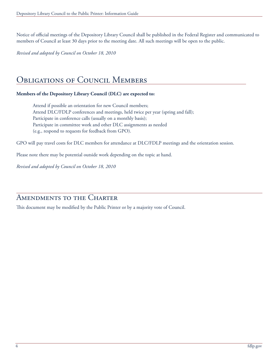<span id="page-3-0"></span>Notice of official meetings of the Depository Library Council shall be published in the Federal Register and communicated to members of Council at least 30 days prior to the meeting date. All such meetings will be open to the public.

*Revised and adopted by Council on October 18, 2010*

### Obligations of Council Members

#### **Members of the Depository Library Council (DLC) are expected to:**

Attend if possible an orientation for new Council members; Attend DLC/FDLP conferences and meetings, held twice per year (spring and fall); Participate in conference calls (usually on a monthly basis); Participate in committee work and other DLC assignments as needed (e.g., respond to requests for feedback from GPO).

GPO will pay travel costs for DLC members for attendance at DLC/FDLP meetings and the orientation session.

Please note there may be potential outside work depending on the topic at hand.

*Revised and adopted by Council on October 18, 2010*

### AMENDMENTS TO THE CHARTER

This document may be modified by the Public Printer or by a majority vote of Council.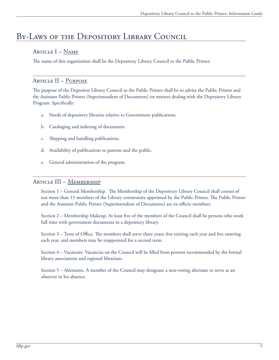## <span id="page-4-0"></span>By-Laws of the Depository Library Council

### Article I – Name

The name of this organization shall be the Depository Library Council to the Public Printer.

### Article II – Purpose

The purpose of the Depositor Library Council to the Public Printer shall be to advise the Public Printer and the Assistant Public Printer (Superintendent of Documents) on matters dealing with the Depository Library Program. Specifically:

- a. Needs of depository libraries relative to Government publications.
- b. Cataloging and indexing of documents.
- c. Shipping and handling publications.
- d. Availability of publications to patrons and the public.
- e. General administration of the program.

#### ARTICLE III – MEMBERSHIP

Section 1 – General Membership. The Membership of the Depository Library Council shall consist of not more than 15 members of the Library community appointed by the Public Printer. The Public Printer and the Assistant Public Printer (Superintendent of Documents) are ex-officio members.

Section 2 – Membership Makeup. At least five of the members of the Council shall be persons who work full time with government documents in a depository library.

Section 3 – Term of Office. The members shall serve three years; five retiring each year and five entering each year, and members may be reappointed for a second term.

Section 4 – Vacancies. Vacancies on the Council will be filled from persons recommended by the formal library associations and regional librarians.

Section 5 – Alternates. A member of the Council may designate a non-voting alternate to serve as an observer in his absence.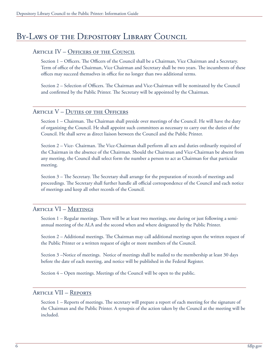## By-Laws of the Depository Library Council

#### ARTICLE IV - OFFICERS OF THE COUNCIL

Section 1 – Officers. The Officers of the Council shall be a Chairman, Vice Chairman and a Secretary. Term of office of the Chairman, Vice Chairman and Secretary shall be two years. The incumbents of these offices may succeed themselves in office for no longer than two additional terms.

Section 2 – Selection of Officers. The Chairman and Vice-Chairman will be nominated by the Council and confirmed by the Public Printer. The Secretary will be appointed by the Chairman.

#### ARTICLE V – DUTIES OF THE OFFICERS

Section 1 – Chairman. The Chairman shall preside over meetings of the Council. He will have the duty of organizing the Council. He shall appoint such committees as necessary to carry out the duties of the Council. He shall serve as direct liaison between the Council and the Public Printer.

Section 2 – Vice- Chairman. The Vice-Chairman shall perform all acts and duties ordinarily required of the Chairman in the absence of the Chairman. Should the Chairman and Vice-Chairman be absent from any meeting, the Council shall select form the number a person to act as Chairman for that particular meeting.

Section 3 – The Secretary. The Secretary shall arrange for the preparation of records of meetings and proceedings. The Secretary shall further handle all official correspondence of the Council and each notice of meetings and keep all other records of the Council.

#### Article VI – Meetings

Section 1 – Regular meetings. There will be at least two meetings, one during or just following a semiannual meeting of the ALA and the second when and where designated by the Public Printer.

Section 2 – Additional meetings. The Chairman may call additional meetings upon the written request of the Public Printer or a written request of eight or more members of the Council.

Section 3 –Notice of meetings. Notice of meetings shall be mailed to the membership at least 30 days before the date of each meeting, and notice will be published in the Federal Register.

Section 4 – Open meetings. Meetings of the Council will be open to the public.

#### Article VII – Reports

Section 1 – Reports of meetings. The secretary will prepare a report of each meeting for the signature of the Chairman and the Public Printer. A synopsis of the action taken by the Council at the meeting will be included.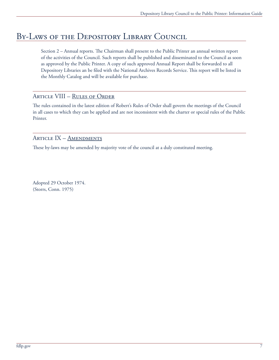## By-Laws of the Depository Library Council

Section 2 – Annual reports. The Chairman shall present to the Public Printer an annual written report of the activities of the Council. Such reports shall be published and disseminated to the Council as soon as approved by the Public Printer. A copy of such approved Annual Report shall be forwarded to all Depository Libraries an be filed with the National Archives Records Service. This report will be listed in the Monthly Catalog and will be available for purchase.

#### Article VIII – Rules of Order

The rules contained in the latest edition of Robert's Rules of Order shall govern the meetings of the Council in all cases to which they can be applied and are not inconsistent with the charter or special rules of the Public Printer.

#### ARTICLE IX - AMENDMENTS

These by-laws may be amended by majority vote of the council at a duly constituted meeting.

Adopted 29 October 1974. (Storrs, Conn. 1975)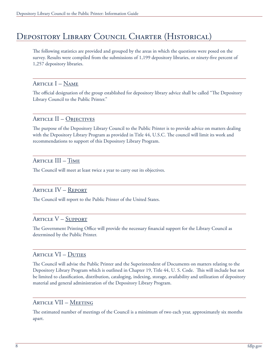## <span id="page-7-0"></span>Depository Library Council Charter (Historical)

The following statistics are provided and grouped by the areas in which the questions were posed on the survey. Results were compiled from the submissions of 1,199 depository libraries, or ninety-five percent of 1,257 depository libraries.

ARTICLE  $I - N$ AME

The official designation of the group established for depository library advice shall be called "The Depository Library Council to the Public Printer."

#### ARTICLE II – OBJECTIVES

The purpose of the Depository Library Council to the Public Printer is to provide advice on matters dealing with the Depository Library Program as provided in Title 44, U.S.C. The council will limit its work and recommendations to support of this Depository Library Program.

### Article III – Time

The Council will meet at least twice a year to carry out its objectives.

### Article IV – Report

The Council will report to the Public Printer of the United States.

#### Article V – Support

The Government Printing Office will provide the necessary financial support for the Library Council as determined by the Public Printer.

#### Article VI – Duties

The Council will advise the Public Printer and the Superintendent of Documents on matters relating to the Depository Library Program which is outlined in Chapter 19, Title 44, U. S. Code. This will include but not be limited to classification, distribution, cataloging, indexing, storage, availability and utilization of depository material and general administration of the Depository Library Program.

#### Article VII – Meeting

The estimated number of meetings of the Council is a minimum of two each year, approximately six months apart.